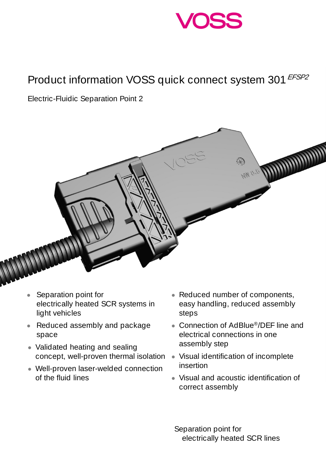

## Product information VOSS quick connect system 301 EFSP2

Electric-Fluidic Separation Point 2



- Separation point for electrically heated SCR systems in light vehicles
- Reduced assembly and package space
- Validated heating and sealing concept, well-proven thermal isolation
- Well-proven laser-welded connection of the fluid lines
- Reduced number of components, easy handling, reduced assembly steps
- Connection of AdBlue®/DEF line and electrical connections in one assembly step
- Visual identification of incomplete insertion
- Visual and acoustic identification of correct assembly

 Separation point for electrically heated SCR lines